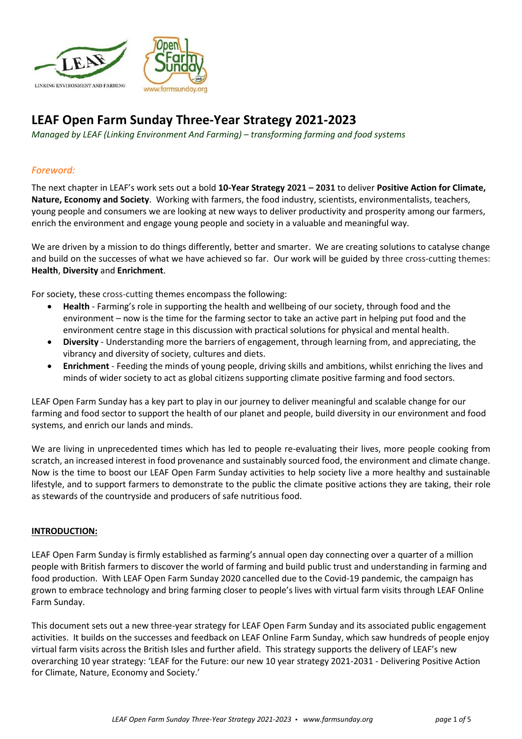

# **LEAF Open Farm Sunday Three-Year Strategy 2021-2023**

*Managed by LEAF (Linking Environment And Farming) – transforming farming and food systems*

# *Foreword:*

The next chapter in LEAF's work sets out a bold **10-Year Strategy 2021 – 2031** to deliver **Positive Action for Climate, Nature, Economy and Society**. Working with farmers, the food industry, scientists, environmentalists, teachers, young people and consumers we are looking at new ways to deliver productivity and prosperity among our farmers, enrich the environment and engage young people and society in a valuable and meaningful way.

We are driven by a mission to do things differently, better and smarter. We are creating solutions to catalyse change and build on the successes of what we have achieved so far. Our work will be guided by three cross-cutting themes: **Health**, **Diversity** and **Enrichment**.

For society, these cross-cutting themes encompass the following:

- **Health** Farming's role in supporting the health and wellbeing of our society, through food and the environment – now is the time for the farming sector to take an active part in helping put food and the environment centre stage in this discussion with practical solutions for physical and mental health.
- **Diversity** Understanding more the barriers of engagement, through learning from, and appreciating, the vibrancy and diversity of society, cultures and diets.
- **Enrichment** Feeding the minds of young people, driving skills and ambitions, whilst enriching the lives and minds of wider society to act as global citizens supporting climate positive farming and food sectors.

LEAF Open Farm Sunday has a key part to play in our journey to deliver meaningful and scalable change for our farming and food sector to support the health of our planet and people, build diversity in our environment and food systems, and enrich our lands and minds.

We are living in unprecedented times which has led to people re-evaluating their lives, more people cooking from scratch, an increased interest in food provenance and sustainably sourced food, the environment and climate change. Now is the time to boost our LEAF Open Farm Sunday activities to help society live a more healthy and sustainable lifestyle, and to support farmers to demonstrate to the public the climate positive actions they are taking, their role as stewards of the countryside and producers of safe nutritious food.

#### **INTRODUCTION:**

LEAF Open Farm Sunday is firmly established as farming's annual open day connecting over a quarter of a million people with British farmers to discover the world of farming and build public trust and understanding in farming and food production. With LEAF Open Farm Sunday 2020 cancelled due to the Covid-19 pandemic, the campaign has grown to embrace technology and bring farming closer to people's lives with virtual farm visits through LEAF Online Farm Sunday.

This document sets out a new three-year strategy for LEAF Open Farm Sunday and its associated public engagement activities. It builds on the successes and feedback on LEAF Online Farm Sunday, which saw hundreds of people enjoy virtual farm visits across the British Isles and further afield. This strategy supports the delivery of LEAF's new overarching 10 year strategy: 'LEAF for the Future: our new 10 year strategy 2021-2031 - Delivering Positive Action for Climate, Nature, Economy and Society.'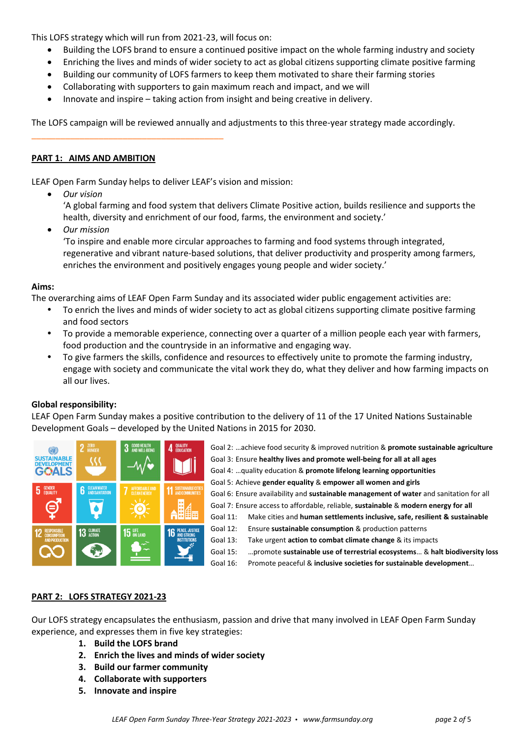This LOFS strategy which will run from 2021-23, will focus on:

- Building the LOFS brand to ensure a continued positive impact on the whole farming industry and society
- Enriching the lives and minds of wider society to act as global citizens supporting climate positive farming
- Building our community of LOFS farmers to keep them motivated to share their farming stories
- Collaborating with supporters to gain maximum reach and impact, and we will
- Innovate and inspire taking action from insight and being creative in delivery.

The LOFS campaign will be reviewed annually and adjustments to this three-year strategy made accordingly.

### **PART 1: AIMS AND AMBITION**

\_\_\_\_\_\_\_\_\_\_\_\_\_\_\_\_\_\_\_\_\_\_\_\_\_\_\_\_\_\_\_\_\_\_\_\_\_\_\_\_

LEAF Open Farm Sunday helps to deliver LEAF's vision and mission:

• *Our vision*

'A global farming and food system that delivers Climate Positive action, builds resilience and supports the health, diversity and enrichment of our food, farms, the environment and society.'

• *Our mission* 

'To inspire and enable more circular approaches to farming and food systems through integrated, regenerative and vibrant nature-based solutions, that deliver productivity and prosperity among farmers, enriches the environment and positively engages young people and wider society.'

#### **Aims:**

The overarching aims of LEAF Open Farm Sunday and its associated wider public engagement activities are:

- To enrich the lives and minds of wider society to act as global citizens supporting climate positive farming and food sectors
- To provide a memorable experience, connecting over a quarter of a million people each year with farmers, food production and the countryside in an informative and engaging way.
- To give farmers the skills, confidence and resources to effectively unite to promote the farming industry, engage with society and communicate the vital work they do, what they deliver and how farming impacts on all our lives.

# **Global responsibility:**

LEAF Open Farm Sunday makes a positive contribution to the delivery of 11 of the 17 United Nations Sustainable Development Goals – developed by the United Nations in 2015 for 2030.



Goal 2: …achieve food security & improved nutrition & **promote sustainable agriculture** Goal 3: Ensure **healthy lives and promote well-being for all at all ages** Goal 4: …quality education & **promote lifelong learning opportunities** Goal 5: Achieve **gender equality** & **empower all women and girls** Goal 6: Ensure availability and **sustainable management of water** and sanitation for all Goal 7: Ensure access to affordable, reliable, **sustainable** & **modern energy for all** Goal 11: Make cities and **human settlements inclusive, safe, resilient & sustainable** Goal 12: Ensure **sustainable consumption** & production patterns Goal 13: Take urgent **action to combat climate change** & its impacts Goal 15: …promote **sustainable use of terrestrial ecosystems**… & **halt biodiversity loss** Goal 16: Promote peaceful & **inclusive societies for sustainable development**…

# **PART 2: LOFS STRATEGY 2021-23**

Our LOFS strategy encapsulates the enthusiasm, passion and drive that many involved in LEAF Open Farm Sunday experience, and expresses them in five key strategies:

- **1. Build the LOFS brand**
- **2. Enrich the lives and minds of wider society**
- **3. Build our farmer community**
- **4. Collaborate with supporters**
- **5. Innovate and inspire**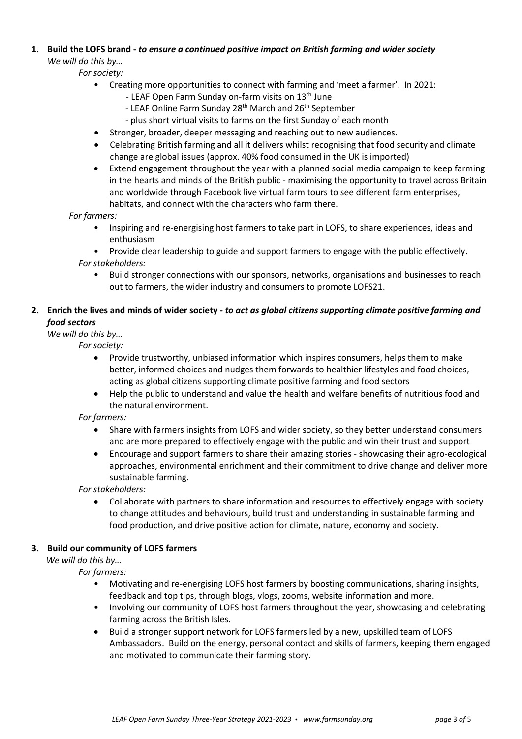# **1. Build the LOFS brand -** *to ensure a continued positive impact on British farming and wider society We will do this by…*

*For society:*

- Creating more opportunities to connect with farming and 'meet a farmer'. In 2021:
	- LEAF Open Farm Sunday on-farm visits on 13<sup>th</sup> June
	- LEAF Online Farm Sunday 28<sup>th</sup> March and 26<sup>th</sup> September
	- plus short virtual visits to farms on the first Sunday of each month
- Stronger, broader, deeper messaging and reaching out to new audiences.
- Celebrating British farming and all it delivers whilst recognising that food security and climate change are global issues (approx. 40% food consumed in the UK is imported)
- Extend engagement throughout the year with a planned social media campaign to keep farming in the hearts and minds of the British public - maximising the opportunity to travel across Britain and worldwide through Facebook live virtual farm tours to see different farm enterprises, habitats, and connect with the characters who farm there.

#### *For farmers:*

- Inspiring and re-energising host farmers to take part in LOFS, to share experiences, ideas and enthusiasm
- Provide clear leadership to guide and support farmers to engage with the public effectively. *For stakeholders:*
	- Build stronger connections with our sponsors, networks, organisations and businesses to reach out to farmers, the wider industry and consumers to promote LOFS21.

# **2. Enrich the lives and minds of wider society -** *to act as global citizens supporting climate positive farming and food sectors*

# *We will do this by…*

*For society:*

- Provide trustworthy, unbiased information which inspires consumers, helps them to make better, informed choices and nudges them forwards to healthier lifestyles and food choices, acting as global citizens supporting climate positive farming and food sectors
- Help the public to understand and value the health and welfare benefits of nutritious food and the natural environment.

# *For farmers:*

- Share with farmers insights from LOFS and wider society, so they better understand consumers and are more prepared to effectively engage with the public and win their trust and support
- Encourage and support farmers to share their amazing stories showcasing their agro-ecological approaches, environmental enrichment and their commitment to drive change and deliver more sustainable farming.

*For stakeholders:*

• Collaborate with partners to share information and resources to effectively engage with society to change attitudes and behaviours, build trust and understanding in sustainable farming and food production, and drive positive action for climate, nature, economy and society.

# **3. Build our community of LOFS farmers**

*We will do this by…*

*For farmers:*

- Motivating and re-energising LOFS host farmers by boosting communications, sharing insights, feedback and top tips, through blogs, vlogs, zooms, website information and more.
- Involving our community of LOFS host farmers throughout the year, showcasing and celebrating farming across the British Isles.
- Build a stronger support network for LOFS farmers led by a new, upskilled team of LOFS Ambassadors. Build on the energy, personal contact and skills of farmers, keeping them engaged and motivated to communicate their farming story.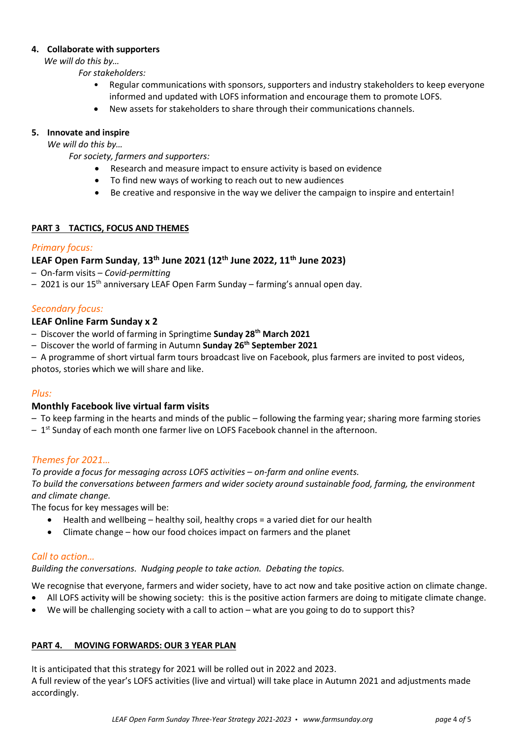#### **4. Collaborate with supporters**

*We will do this by…*

*For stakeholders:*

- Regular communications with sponsors, supporters and industry stakeholders to keep everyone informed and updated with LOFS information and encourage them to promote LOFS.
- New assets for stakeholders to share through their communications channels.

# **5. Innovate and inspire**

*We will do this by…*

*For society, farmers and supporters:*

- Research and measure impact to ensure activity is based on evidence
- To find new ways of working to reach out to new audiences
- Be creative and responsive in the way we deliver the campaign to inspire and entertain!

# **PART 3 TACTICS, FOCUS AND THEMES**

# *Primary focus:*

# **LEAF Open Farm Sunday**, **13th June 2021 (12th June 2022, 11th June 2023)**

- On-farm visits *Covid-permitting*
- 2021 is our 15<sup>th</sup> anniversary LEAF Open Farm Sunday farming's annual open day.

# *Secondary focus:*

# **LEAF Online Farm Sunday x 2**

- Discover the world of farming in Springtime **Sunday 28th March 2021**
- Discover the world of farming in Autumn **Sunday 26th September 2021**
- A programme of short virtual farm tours broadcast live on Facebook, plus farmers are invited to post videos, photos, stories which we will share and like.

# *Plus:*

# **Monthly Facebook live virtual farm visits**

- *–* To keep farming in the hearts and minds of the public following the farming year; sharing more farming stories
- *–* 1 st Sunday of each month one farmer live on LOFS Facebook channel in the afternoon.

# *Themes for 2021…*

*To provide a focus for messaging across LOFS activities – on-farm and online events. To build the conversations between farmers and wider society around sustainable food, farming, the environment and climate change.*

The focus for key messages will be:

- Health and wellbeing healthy soil, healthy crops = a varied diet for our health
- Climate change how our food choices impact on farmers and the planet

# *Call to action…*

*Building the conversations. Nudging people to take action. Debating the topics.*

We recognise that everyone, farmers and wider society, have to act now and take positive action on climate change.

- All LOFS activity will be showing society: this is the positive action farmers are doing to mitigate climate change.
- We will be challenging society with a call to action what are you going to do to support this?

# **PART 4. MOVING FORWARDS: OUR 3 YEAR PLAN**

It is anticipated that this strategy for 2021 will be rolled out in 2022 and 2023.

A full review of the year's LOFS activities (live and virtual) will take place in Autumn 2021 and adjustments made accordingly.